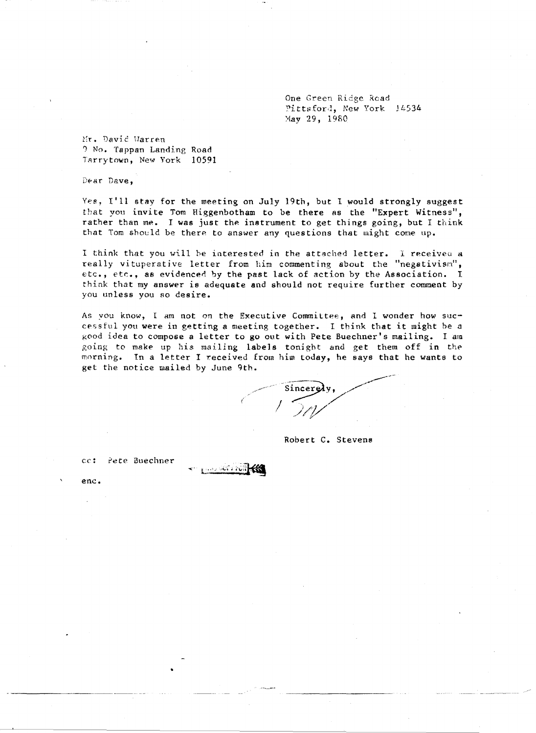One Green Ridge Read Pittsford, New York 14534 May 29, 1980

Mr. David Warren 1 No. Tappan Landing Road TArrytown, New York 10591

Dear Dave,

Yes, I'll stay for the meeting on July 19th, but I would strongly suggest that you invite Tom Higgenbotham to be there as the "Expert Witness", rather than me. I was just the instrument to get things going, but I think that Tom should be there to answer any questions that might come up.

I think that you will be interested in the attached letter. I receiveu a really vituperative letter from him commenting about the "negativism", etc., etc., as evidenced by the past lack of action by the Association. I think that my answer is adequate and should not require further comment by you unless you 80 desire.

As you know, I am not on the Executive Committee, and I wonder how successful you were in getting a meeting together. I think that it might be a good idea to compose a letter to go out with Pete Buechner's mailing. I am going to make up his mailing labels tonight and get them off in the morning. In a letter I received from him today, he says that he wants to get the notice mailed by June 9th.

្<sub>រ</sub> .... លោ សេរ

Robert C. Stevens

cc: 2ete Buechner

•

ene.